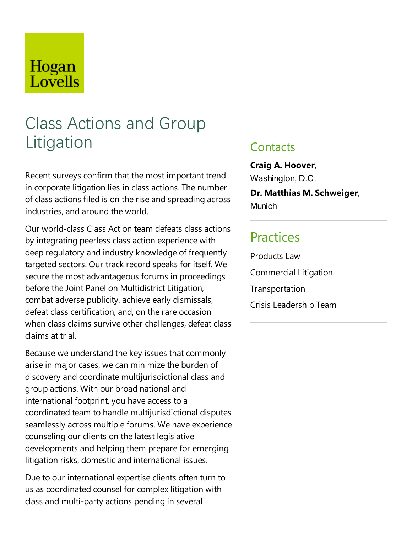# Hogan Lovells

# Class Actions and Group Litigation

Recent surveys confirm that the most important trend in corporate litigation lies in class actions. The number of class actions filed is on the rise and spreading across industries, and around the world.

Our world-class Class Action team defeats class actions by integrating peerless class action experience with deep regulatory and industry knowledge of frequently targeted sectors. Our track record speaks for itself. We secure the most advantageous forums in proceedings before the Joint Panel on Multidistrict Litigation, combat adverse publicity, achieve early dismissals, defeat class certification, and, on the rare occasion when class claims survive other challenges, defeat class claims at trial.

Because we understand the key issues that commonly arise in major cases, we can minimize the burden of discovery and coordinate multijurisdictional class and group actions. With our broad national and international footprint, you have access to a coordinated team to handle multijurisdictional disputes seamlessly across multiple forums. We have experience counseling our clients on the latest legislative developments and helping them prepare for emerging litigation risks, domestic and international issues.

Due to our international expertise clients often turn to us as coordinated counsel for complex litigation with class and multi-party actions pending in several

#### **Contacts**

**Craig A. Hoover**, Washington, D.C. **Dr. Matthias M. Schweiger**,

**Munich** 

## **Practices**

Products Law Commercial Litigation Transportation Crisis Leadership Team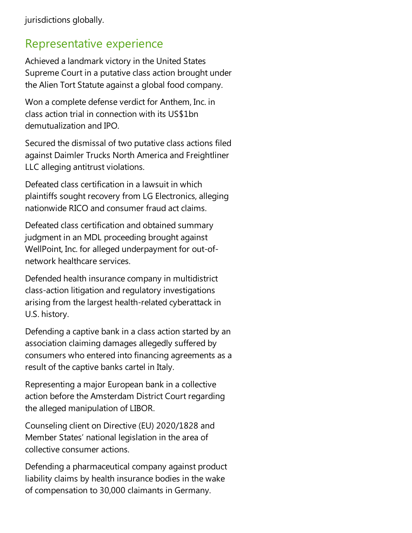### Representative experience

Achieved alandmark victory in the United States Supreme Court in a putative class action brought under the Alien Tort Statute against a global food company.

Won a complete defense verdict for Anthem, Inc. in class action trial in connection with its US\$1bn demutualization and IPO.

Secured the dismissal of two putative class actions filed against Daimler Trucks North America and Freightliner LLC alleging antitrust violations.

Defeated class certification in alawsuit in which plaintiffs sought recovery from LG Electronics, alleging nationwide RICO and consumer fraud act claims.

Defeated class certification and obtained summary judgment in an MDL proceeding brought against WellPoint, Inc. for alleged underpayment for out-ofnetwork healthcare services.

Defended health insurance company in multidistrict class-action litigation and regulatory investigations arising from the largest health-related cyberattack in U.S. history.

Defending a captive bank in a class action started by an association claiming damages allegedly suffered by consumers who entered into financing agreements as a result of the captive banks cartel in Italy.

Representing a major European bank in acollective action before the Amsterdam District Court regarding the alleged manipulation of LIBOR.

Counseling client on Directive(EU) 2020/1828 and Member States' national legislation in the area of collective consumer actions.

Defending a pharmaceutical company against product liability claims by health insurance bodies in the wake of compensation to 30,000 claimants in Germany.